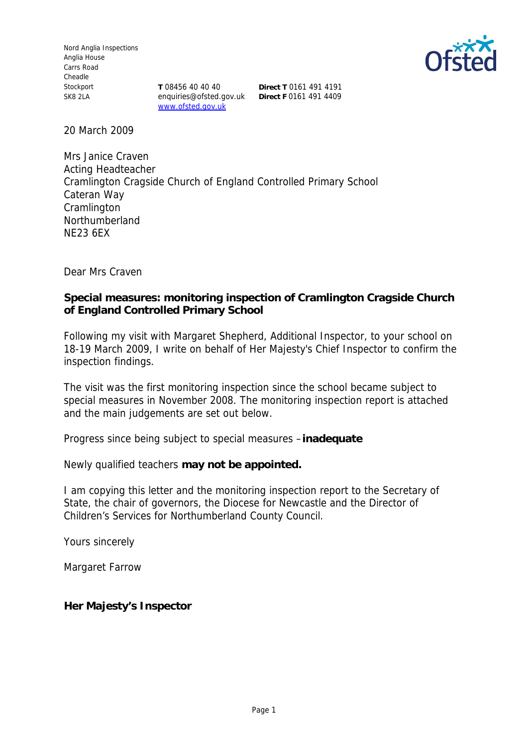Nord Anglia Inspections Anglia House Carrs Road Cheadle Stockport SK8 2LA

enquiries@ofsted.gov.uk **Direct F** 0161 491 4409www.ofsted.gov.uk

**T** 08456 40 40 40 **Direct T** 0161 491 4191



20 March 2009

Mrs Janice Craven Acting Headteacher Cramlington Cragside Church of England Controlled Primary School Cateran Way **Cramlington** Northumberland NE23 6EX

Dear Mrs Craven

**Special measures: monitoring inspection of Cramlington Cragside Church of England Controlled Primary School**

Following my visit with Margaret Shepherd, Additional Inspector, to your school on 18-19 March 2009, I write on behalf of Her Majesty's Chief Inspector to confirm the inspection findings.

The visit was the first monitoring inspection since the school became subject to special measures in November 2008. The monitoring inspection report is attached and the main judgements are set out below.

Progress since being subject to special measures –**inadequate**

Newly qualified teachers **may not be appointed.**

I am copying this letter and the monitoring inspection report to the Secretary of State, the chair of governors, the Diocese for Newcastle and the Director of Children's Services for Northumberland County Council.

Yours sincerely

Margaret Farrow

**Her Majesty's Inspector**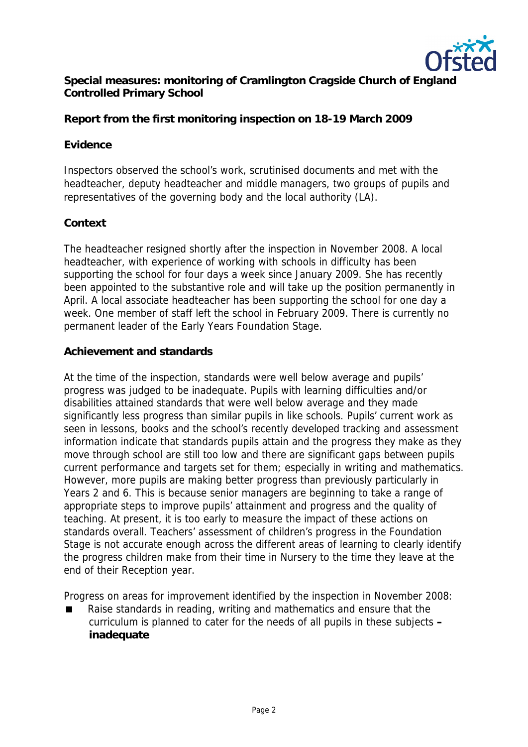

**Special measures: monitoring of Cramlington Cragside Church of England Controlled Primary School**

**Report from the first monitoring inspection on 18-19 March 2009**

## **Evidence**

Inspectors observed the school's work, scrutinised documents and met with the headteacher, deputy headteacher and middle managers, two groups of pupils and representatives of the governing body and the local authority (LA).

# **Context**

The headteacher resigned shortly after the inspection in November 2008. A local headteacher, with experience of working with schools in difficulty has been supporting the school for four days a week since January 2009. She has recently been appointed to the substantive role and will take up the position permanently in April. A local associate headteacher has been supporting the school for one day a week. One member of staff left the school in February 2009. There is currently no permanent leader of the Early Years Foundation Stage.

# **Achievement and standards**

At the time of the inspection, standards were well below average and pupils' progress was judged to be inadequate. Pupils with learning difficulties and/or disabilities attained standards that were well below average and they made significantly less progress than similar pupils in like schools. Pupils' current work as seen in lessons, books and the school's recently developed tracking and assessment information indicate that standards pupils attain and the progress they make as they move through school are still too low and there are significant gaps between pupils current performance and targets set for them; especially in writing and mathematics. However, more pupils are making better progress than previously particularly in Years 2 and 6. This is because senior managers are beginning to take a range of appropriate steps to improve pupils' attainment and progress and the quality of teaching. At present, it is too early to measure the impact of these actions on standards overall. Teachers' assessment of children's progress in the Foundation Stage is not accurate enough across the different areas of learning to clearly identify the progress children make from their time in Nursery to the time they leave at the end of their Reception year.

Progress on areas for improvement identified by the inspection in November 2008:

 Raise standards in reading, writing and mathematics and ensure that the curriculum is planned to cater for the needs of all pupils in these subjects **– inadequate**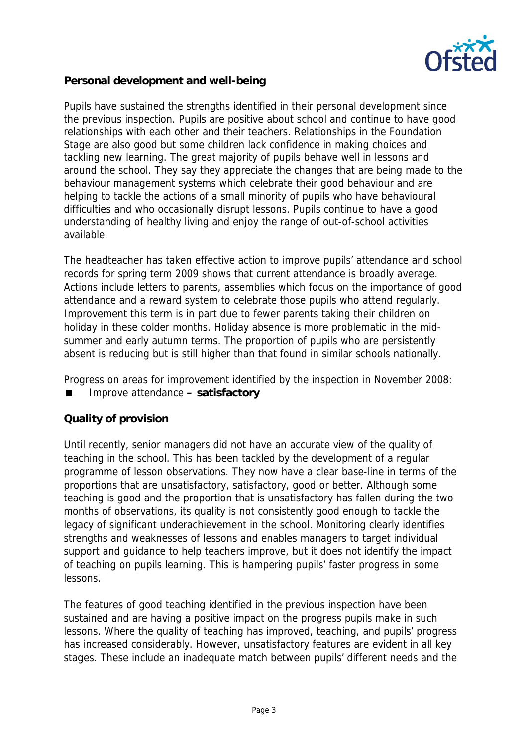

**Personal development and well-being**

Pupils have sustained the strengths identified in their personal development since the previous inspection. Pupils are positive about school and continue to have good relationships with each other and their teachers. Relationships in the Foundation Stage are also good but some children lack confidence in making choices and tackling new learning. The great majority of pupils behave well in lessons and around the school. They say they appreciate the changes that are being made to the behaviour management systems which celebrate their good behaviour and are helping to tackle the actions of a small minority of pupils who have behavioural difficulties and who occasionally disrupt lessons. Pupils continue to have a good understanding of healthy living and enjoy the range of out-of-school activities available.

The headteacher has taken effective action to improve pupils' attendance and school records for spring term 2009 shows that current attendance is broadly average. Actions include letters to parents, assemblies which focus on the importance of good attendance and a reward system to celebrate those pupils who attend regularly. Improvement this term is in part due to fewer parents taking their children on holiday in these colder months. Holiday absence is more problematic in the midsummer and early autumn terms. The proportion of pupils who are persistently absent is reducing but is still higher than that found in similar schools nationally.

Progress on areas for improvement identified by the inspection in November 2008:

Improve attendance **– satisfactory**

### **Quality of provision**

Until recently, senior managers did not have an accurate view of the quality of teaching in the school. This has been tackled by the development of a regular programme of lesson observations. They now have a clear base-line in terms of the proportions that are unsatisfactory, satisfactory, good or better. Although some teaching is good and the proportion that is unsatisfactory has fallen during the two months of observations, its quality is not consistently good enough to tackle the legacy of significant underachievement in the school. Monitoring clearly identifies strengths and weaknesses of lessons and enables managers to target individual support and guidance to help teachers improve, but it does not identify the impact of teaching on pupils learning. This is hampering pupils' faster progress in some lessons.

The features of good teaching identified in the previous inspection have been sustained and are having a positive impact on the progress pupils make in such lessons. Where the quality of teaching has improved, teaching, and pupils' progress has increased considerably. However, unsatisfactory features are evident in all key stages. These include an inadequate match between pupils' different needs and the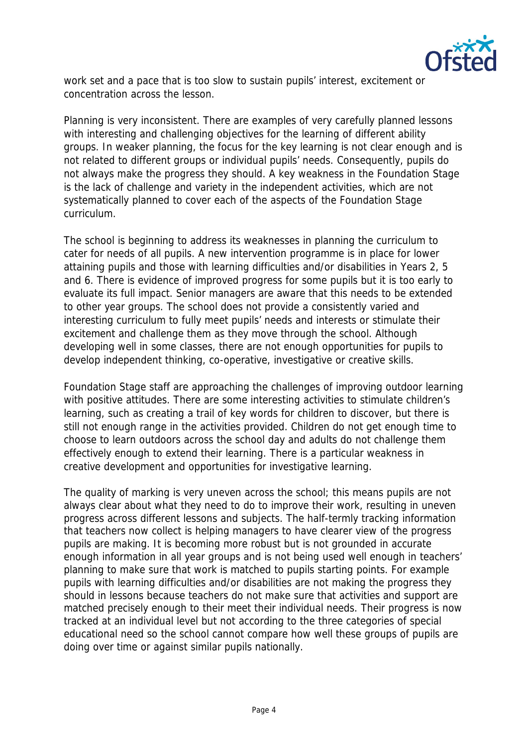

work set and a pace that is too slow to sustain pupils' interest, excitement or concentration across the lesson.

Planning is very inconsistent. There are examples of very carefully planned lessons with interesting and challenging objectives for the learning of different ability groups. In weaker planning, the focus for the key learning is not clear enough and is not related to different groups or individual pupils' needs. Consequently, pupils do not always make the progress they should. A key weakness in the Foundation Stage is the lack of challenge and variety in the independent activities, which are not systematically planned to cover each of the aspects of the Foundation Stage curriculum.

The school is beginning to address its weaknesses in planning the curriculum to cater for needs of all pupils. A new intervention programme is in place for lower attaining pupils and those with learning difficulties and/or disabilities in Years 2, 5 and 6. There is evidence of improved progress for some pupils but it is too early to evaluate its full impact. Senior managers are aware that this needs to be extended to other year groups. The school does not provide a consistently varied and interesting curriculum to fully meet pupils' needs and interests or stimulate their excitement and challenge them as they move through the school. Although developing well in some classes, there are not enough opportunities for pupils to develop independent thinking, co-operative, investigative or creative skills.

Foundation Stage staff are approaching the challenges of improving outdoor learning with positive attitudes. There are some interesting activities to stimulate children's learning, such as creating a trail of key words for children to discover, but there is still not enough range in the activities provided. Children do not get enough time to choose to learn outdoors across the school day and adults do not challenge them effectively enough to extend their learning. There is a particular weakness in creative development and opportunities for investigative learning.

The quality of marking is very uneven across the school; this means pupils are not always clear about what they need to do to improve their work, resulting in uneven progress across different lessons and subjects. The half-termly tracking information that teachers now collect is helping managers to have clearer view of the progress pupils are making. It is becoming more robust but is not grounded in accurate enough information in all year groups and is not being used well enough in teachers' planning to make sure that work is matched to pupils starting points. For example pupils with learning difficulties and/or disabilities are not making the progress they should in lessons because teachers do not make sure that activities and support are matched precisely enough to their meet their individual needs. Their progress is now tracked at an individual level but not according to the three categories of special educational need so the school cannot compare how well these groups of pupils are doing over time or against similar pupils nationally.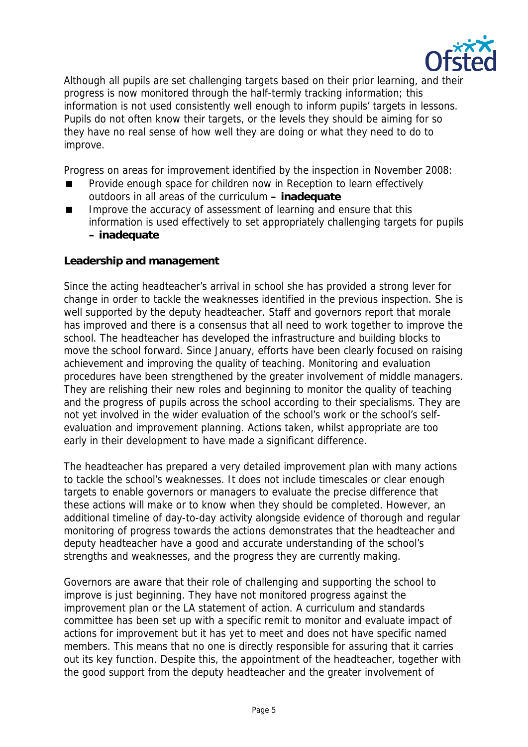

Although all pupils are set challenging targets based on their prior learning, and their progress is now monitored through the half-termly tracking information; this information is not used consistently well enough to inform pupils' targets in lessons. Pupils do not often know their targets, or the levels they should be aiming for so they have no real sense of how well they are doing or what they need to do to improve.

Progress on areas for improvement identified by the inspection in November 2008:

- Provide enough space for children now in Reception to learn effectively outdoors in all areas of the curriculum **– inadequate**
- Improve the accuracy of assessment of learning and ensure that this information is used effectively to set appropriately challenging targets for pupils **– inadequate**

#### **Leadership and management**

Since the acting headteacher's arrival in school she has provided a strong lever for change in order to tackle the weaknesses identified in the previous inspection. She is well supported by the deputy headteacher. Staff and governors report that morale has improved and there is a consensus that all need to work together to improve the school. The headteacher has developed the infrastructure and building blocks to move the school forward. Since January, efforts have been clearly focused on raising achievement and improving the quality of teaching. Monitoring and evaluation procedures have been strengthened by the greater involvement of middle managers. They are relishing their new roles and beginning to monitor the quality of teaching and the progress of pupils across the school according to their specialisms. They are not yet involved in the wider evaluation of the school's work or the school's selfevaluation and improvement planning. Actions taken, whilst appropriate are too early in their development to have made a significant difference.

The headteacher has prepared a very detailed improvement plan with many actions to tackle the school's weaknesses. It does not include timescales or clear enough targets to enable governors or managers to evaluate the precise difference that these actions will make or to know when they should be completed. However, an additional timeline of day-to-day activity alongside evidence of thorough and regular monitoring of progress towards the actions demonstrates that the headteacher and deputy headteacher have a good and accurate understanding of the school's strengths and weaknesses, and the progress they are currently making.

Governors are aware that their role of challenging and supporting the school to improve is just beginning. They have not monitored progress against the improvement plan or the LA statement of action. A curriculum and standards committee has been set up with a specific remit to monitor and evaluate impact of actions for improvement but it has yet to meet and does not have specific named members. This means that no one is directly responsible for assuring that it carries out its key function. Despite this, the appointment of the headteacher, together with the good support from the deputy headteacher and the greater involvement of